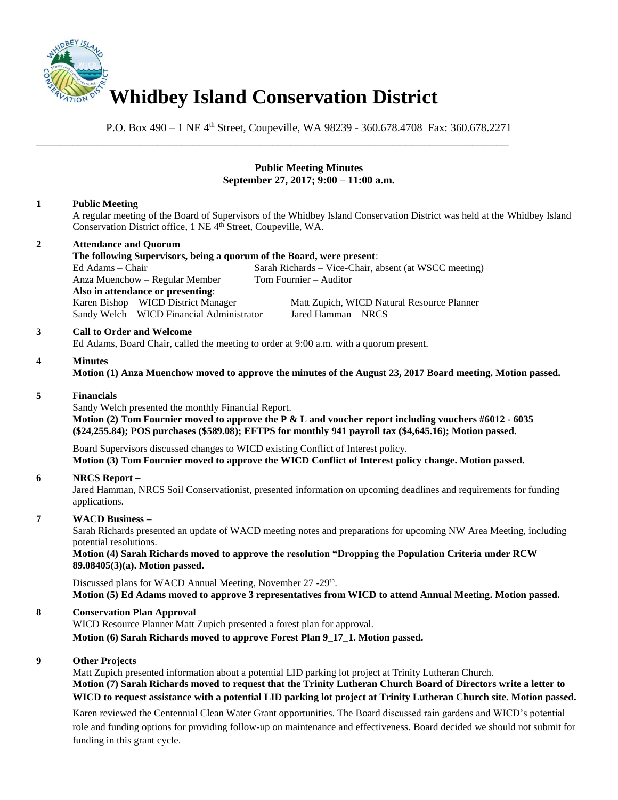

P.O. Box 490 – 1 NE 4<sup>th</sup> Street, Coupeville, WA 98239 - 360.678.4708 Fax: 360.678.2271

# **Public Meeting Minutes September 27, 2017; 9:00 – 11:00 a.m.**

# **1 Public Meeting**

A regular meeting of the Board of Supervisors of the Whidbey Island Conservation District was held at the Whidbey Island Conservation District office, 1 NE 4<sup>th</sup> Street, Coupeville, WA.

## **2 Attendance and Quorum**

**The following Supervisors, being a quorum of the Board, were present**: Ed Adams – Chair Sarah Richards – Vice-Chair, absent (at WSCC meeting) Anza Muenchow – Regular Member Tom Fournier – Auditor **Also in attendance or presenting**: Karen Bishop – WICD District Manager Matt Zupich, WICD Natural Resource Planner Sandy Welch – WICD Financial Administrator Jared Hamman – NRCS

\_\_\_\_\_\_\_\_\_\_\_\_\_\_\_\_\_\_\_\_\_\_\_\_\_\_\_\_\_\_\_\_\_\_\_\_\_\_\_\_\_\_\_\_\_\_\_\_\_\_\_\_\_\_\_\_\_\_\_\_\_\_\_\_\_\_\_\_\_\_\_\_\_\_\_\_\_\_

#### **3 Call to Order and Welcome**

Ed Adams, Board Chair, called the meeting to order at 9:00 a.m. with a quorum present.

#### **4 Minutes**

**Motion (1) Anza Muenchow moved to approve the minutes of the August 23, 2017 Board meeting. Motion passed.** 

#### **5 Financials**

Sandy Welch presented the monthly Financial Report. **Motion (2) Tom Fournier moved to approve the P & L and voucher report including vouchers #6012 - 6035 (\$24,255.84); POS purchases (\$589.08); EFTPS for monthly 941 payroll tax (\$4,645.16); Motion passed.** 

Board Supervisors discussed changes to WICD existing Conflict of Interest policy. **Motion (3) Tom Fournier moved to approve the WICD Conflict of Interest policy change. Motion passed.**

## **6 NRCS Report –**

Jared Hamman, NRCS Soil Conservationist, presented information on upcoming deadlines and requirements for funding applications.

## **7 WACD Business –**

Sarah Richards presented an update of WACD meeting notes and preparations for upcoming NW Area Meeting, including potential resolutions.

**Motion (4) Sarah Richards moved to approve the resolution "Dropping the Population Criteria under RCW 89.08405(3)(a). Motion passed.** 

Discussed plans for WACD Annual Meeting, November 27 -29<sup>th</sup>. **Motion (5) Ed Adams moved to approve 3 representatives from WICD to attend Annual Meeting. Motion passed.** 

#### **8 Conservation Plan Approval**

WICD Resource Planner Matt Zupich presented a forest plan for approval. **Motion (6) Sarah Richards moved to approve Forest Plan 9\_17\_1. Motion passed.**

#### **9 Other Projects**

Matt Zupich presented information about a potential LID parking lot project at Trinity Lutheran Church. **Motion (7) Sarah Richards moved to request that the Trinity Lutheran Church Board of Directors write a letter to WICD to request assistance with a potential LID parking lot project at Trinity Lutheran Church site. Motion passed.**

Karen reviewed the Centennial Clean Water Grant opportunities. The Board discussed rain gardens and WICD's potential role and funding options for providing follow-up on maintenance and effectiveness. Board decided we should not submit for funding in this grant cycle.